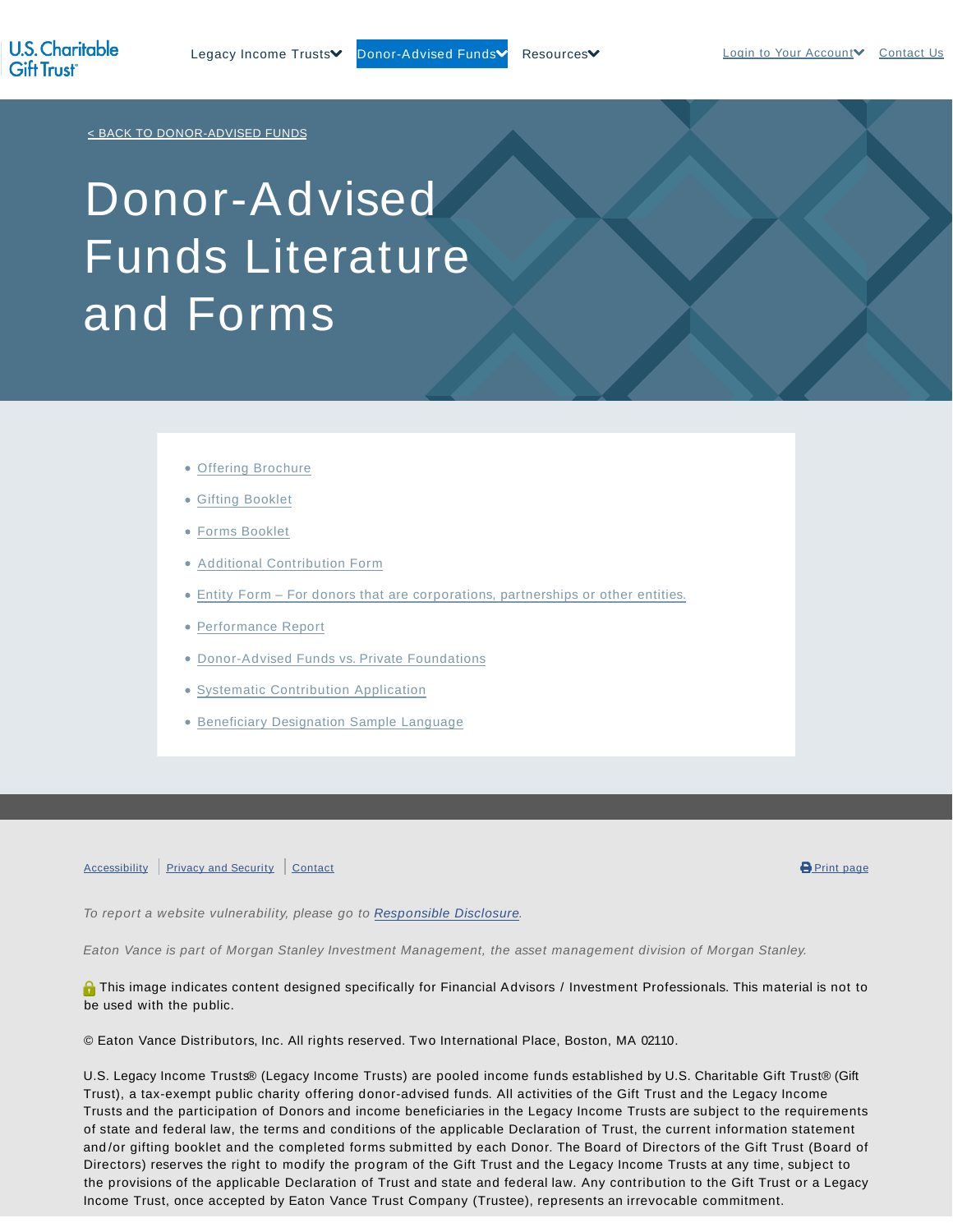< BACK TO DONOR-ADVISED FUNDS

## Donor-Advised Funds Literature and Forms

- Offering Brochure
- Gifting Booklet
- Forms Booklet
- Additional Contribution Form
- Entity Form For donors that are corporations, partnerships or other entities.
- Performance Report
- Donor-Advised Funds vs. Private Foundations
- Systematic Contribution Application
- **Beneficiary Designation Sample Language**

Accessibility Privacy and Security Contact **Contact Contact Contact Contact Contact Contact Contact Contact Contact** 

To report a website vulnerability, please go to Responsible Disclosure.

Eaton Vance is part of Morgan Stanley Investment Management, the asset management division of Morgan Stanley.

**O** This image indicates content designed specifically for Financial Advisors / Investment Professionals. This material is not to be used with the public.

© Eaton Vance Distributors, Inc. All rights reserved. Two International Place, Boston, MA 02110.

U.S. Legacy Income Trusts® (Legacy Income Trusts) are pooled income funds established by U.S. Charitable Gift Trust® (Gift Trust), a tax-exempt public charity offering donor-advised funds. All activities of the Gift Trust and the Legacy Income Trusts and the participation of Donors and income beneficiaries in the Legacy Income Trusts are subject to the requirements of state and federal law, the terms and conditions of the applicable Declaration of Trust, the current information statement and /or gifting booklet and the completed forms submitted by each Donor. The Board of Directors of the Gift Trust (Board of Directors) reserves the right to modify the program of the Gift Trust and the Legacy Income Trusts at any time, subject to the provisions of the applicable Declaration of Trust and state and federal law. Any contribution to the Gift Trust or a Legacy Income Trust, once accepted by Eaton Vance Trust Company (Trustee), represents an irrevocable commitment.